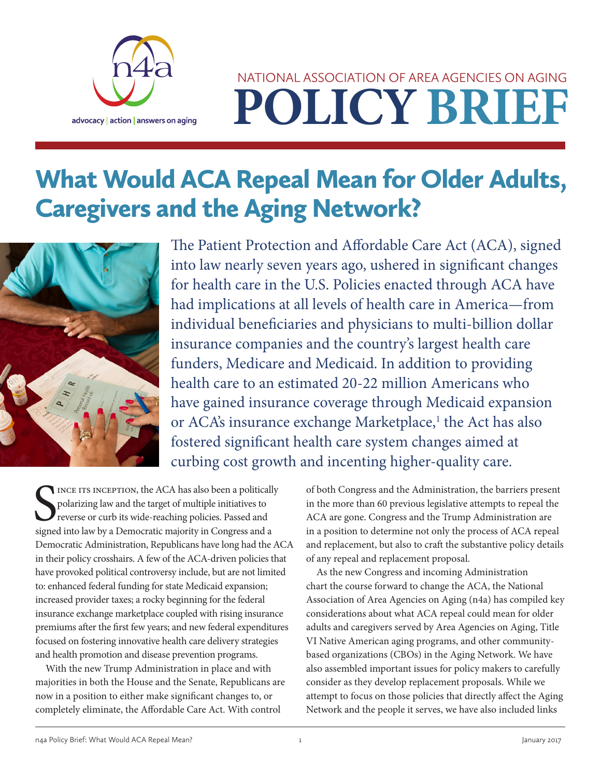

# **POLICY BRIEF** NATIONAL ASSOCIATION OF AREA AGENCIES ON AGING

# What Would ACA Repeal Mean for Older Adults, Caregivers and the Aging Network?



The Patient Protection and Affordable Care Act (ACA), signed into law nearly seven years ago, ushered in significant changes for health care in the U.S. Policies enacted through ACA have had implications at all levels of health care in America—from individual beneficiaries and physicians to multi-billion dollar insurance companies and the country's largest health care funders, Medicare and Medicaid. In addition to providing health care to an estimated 20-22 million Americans who have gained insurance coverage through Medicaid expansion or ACA's insurance exchange Marketplace,<sup>1</sup> the Act has also fostered significant health care system changes aimed at curbing cost growth and incenting higher-quality care.

SUNCE ITS INCEPTION, the ACA has also been a politicall polarizing law and the target of multiple initiatives to reverse or curb its wide-reaching policies. Passed and signed into law by a Democratic majority in Congress a INCE ITS INCEPTION, the ACA has also been a politically polarizing law and the target of multiple initiatives to reverse or curb its wide-reaching policies. Passed and Democratic Administration, Republicans have long had the ACA in their policy crosshairs. A few of the ACA-driven policies that have provoked political controversy include, but are not limited to: enhanced federal funding for state Medicaid expansion; increased provider taxes; a rocky beginning for the federal insurance exchange marketplace coupled with rising insurance premiums after the first few years; and new federal expenditures focused on fostering innovative health care delivery strategies and health promotion and disease prevention programs.

With the new Trump Administration in place and with majorities in both the House and the Senate, Republicans are now in a position to either make significant changes to, or completely eliminate, the Affordable Care Act. With control

of both Congress and the Administration, the barriers present in the more than 60 previous legislative attempts to repeal the ACA are gone. Congress and the Trump Administration are in a position to determine not only the process of ACA repeal and replacement, but also to craft the substantive policy details of any repeal and replacement proposal.

As the new Congress and incoming Administration chart the course forward to change the ACA, the National Association of Area Agencies on Aging (n4a) has compiled key considerations about what ACA repeal could mean for older adults and caregivers served by Area Agencies on Aging, Title VI Native American aging programs, and other communitybased organizations (CBOs) in the Aging Network. We have also assembled important issues for policy makers to carefully consider as they develop replacement proposals. While we attempt to focus on those policies that directly affect the Aging Network and the people it serves, we have also included links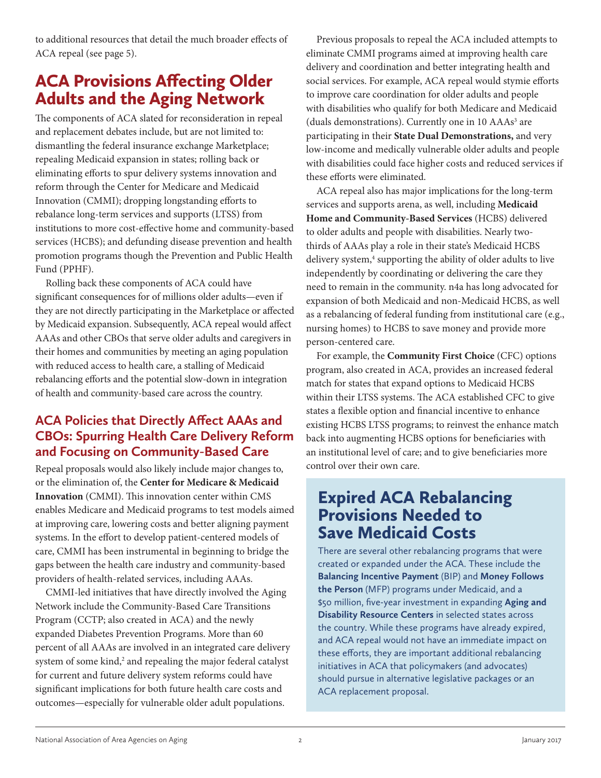to additional resources that detail the much broader effects of ACA repeal (see page 5).

# ACA Provisions Affecting Older Adults and the Aging Network

The components of ACA slated for reconsideration in repeal and replacement debates include, but are not limited to: dismantling the federal insurance exchange Marketplace; repealing Medicaid expansion in states; rolling back or eliminating efforts to spur delivery systems innovation and reform through the Center for Medicare and Medicaid Innovation (CMMI); dropping longstanding efforts to rebalance long-term services and supports (LTSS) from institutions to more cost-effective home and community-based services (HCBS); and defunding disease prevention and health promotion programs though the Prevention and Public Health Fund (PPHF).

Rolling back these components of ACA could have significant consequences for of millions older adults—even if they are not directly participating in the Marketplace or affected by Medicaid expansion. Subsequently, ACA repeal would affect AAAs and other CBOs that serve older adults and caregivers in their homes and communities by meeting an aging population with reduced access to health care, a stalling of Medicaid rebalancing efforts and the potential slow-down in integration of health and community-based care across the country.

# **ACA Policies that Directly Affect AAAs and CBOs: Spurring Health Care Delivery Reform and Focusing on Community-Based Care**

Repeal proposals would also likely include major changes to, or the elimination of, the **Center for Medicare & Medicaid Innovation** (CMMI). This innovation center within CMS enables Medicare and Medicaid programs to test models aimed at improving care, lowering costs and better aligning payment systems. In the effort to develop patient-centered models of care, CMMI has been instrumental in beginning to bridge the gaps between the health care industry and community-based providers of health-related services, including AAAs.

CMMI-led initiatives that have directly involved the Aging Network include the Community-Based Care Transitions Program (CCTP; also created in ACA) and the newly expanded Diabetes Prevention Programs. More than 60 percent of all AAAs are involved in an integrated care delivery system of some kind, $2$  and repealing the major federal catalyst for current and future delivery system reforms could have significant implications for both future health care costs and outcomes—especially for vulnerable older adult populations.

Previous proposals to repeal the ACA included attempts to eliminate CMMI programs aimed at improving health care delivery and coordination and better integrating health and social services. For example, ACA repeal would stymie efforts to improve care coordination for older adults and people with disabilities who qualify for both Medicare and Medicaid (duals demonstrations). Currently one in 10 AAAs<sup>3</sup> are participating in their **State Dual Demonstrations,** and very low-income and medically vulnerable older adults and people with disabilities could face higher costs and reduced services if these efforts were eliminated.

ACA repeal also has major implications for the long-term services and supports arena, as well, including **Medicaid Home and Community-Based Services** (HCBS) delivered to older adults and people with disabilities. Nearly twothirds of AAAs play a role in their state's Medicaid HCBS delivery system,<sup>4</sup> supporting the ability of older adults to live independently by coordinating or delivering the care they need to remain in the community. n4a has long advocated for expansion of both Medicaid and non-Medicaid HCBS, as well as a rebalancing of federal funding from institutional care (e.g., nursing homes) to HCBS to save money and provide more person-centered care.

For example, the **Community First Choice** (CFC) options program, also created in ACA, provides an increased federal match for states that expand options to Medicaid HCBS within their LTSS systems. The ACA established CFC to give states a flexible option and financial incentive to enhance existing HCBS LTSS programs; to reinvest the enhance match back into augmenting HCBS options for beneficiaries with an institutional level of care; and to give beneficiaries more control over their own care.

# Expired ACA Rebalancing Provisions Needed to Save Medicaid Costs

There are several other rebalancing programs that were created or expanded under the ACA. These include the **Balancing Incentive Payment** (BIP) and **Money Follows the Person** (MFP) programs under Medicaid, and a \$50 million, five-year investment in expanding **Aging and Disability Resource Centers** in selected states across the country. While these programs have already expired, and ACA repeal would not have an immediate impact on these efforts, they are important additional rebalancing initiatives in ACA that policymakers (and advocates) should pursue in alternative legislative packages or an ACA replacement proposal.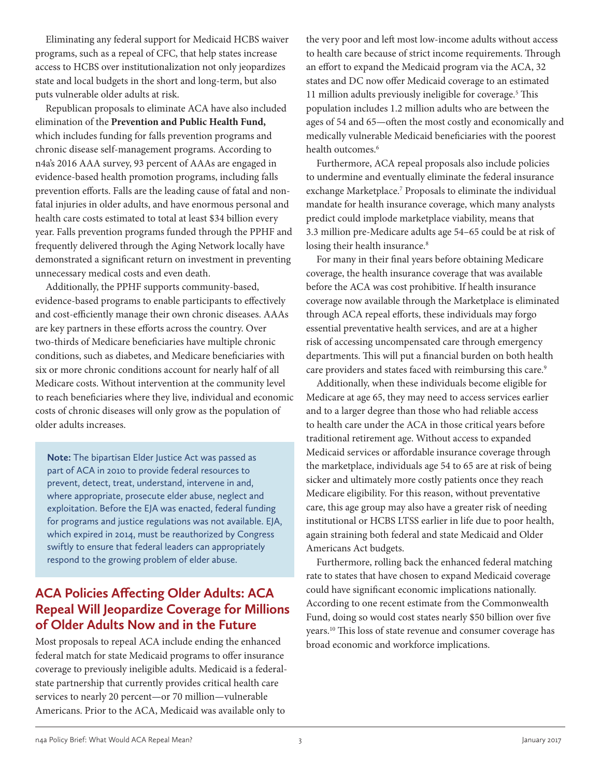Eliminating any federal support for Medicaid HCBS waiver programs, such as a repeal of CFC, that help states increase access to HCBS over institutionalization not only jeopardizes state and local budgets in the short and long-term, but also puts vulnerable older adults at risk.

Republican proposals to eliminate ACA have also included elimination of the **Prevention and Public Health Fund,** which includes funding for falls prevention programs and chronic disease self-management programs. According to n4a's 2016 AAA survey, 93 percent of AAAs are engaged in evidence-based health promotion programs, including falls prevention efforts. Falls are the leading cause of fatal and nonfatal injuries in older adults, and have enormous personal and health care costs estimated to total at least \$34 billion every year. Falls prevention programs funded through the PPHF and frequently delivered through the Aging Network locally have demonstrated a significant return on investment in preventing unnecessary medical costs and even death.

Additionally, the PPHF supports community-based, evidence-based programs to enable participants to effectively and cost-efficiently manage their own chronic diseases. AAAs are key partners in these efforts across the country. Over two-thirds of Medicare beneficiaries have multiple chronic conditions, such as diabetes, and Medicare beneficiaries with six or more chronic conditions account for nearly half of all Medicare costs. Without intervention at the community level to reach beneficiaries where they live, individual and economic costs of chronic diseases will only grow as the population of older adults increases.

**Note:** The bipartisan Elder Justice Act was passed as part of ACA in 2010 to provide federal resources to prevent, detect, treat, understand, intervene in and, where appropriate, prosecute elder abuse, neglect and exploitation. Before the EJA was enacted, federal funding for programs and justice regulations was not available. EJA, which expired in 2014, must be reauthorized by Congress swiftly to ensure that federal leaders can appropriately respond to the growing problem of elder abuse.

## **ACA Policies Affecting Older Adults: ACA Repeal Will Jeopardize Coverage for Millions of Older Adults Now and in the Future**

Most proposals to repeal ACA include ending the enhanced federal match for state Medicaid programs to offer insurance coverage to previously ineligible adults. Medicaid is a federalstate partnership that currently provides critical health care services to nearly 20 percent—or 70 million—vulnerable Americans. Prior to the ACA, Medicaid was available only to

the very poor and left most low-income adults without access to health care because of strict income requirements. Through an effort to expand the Medicaid program via the ACA, 32 states and DC now offer Medicaid coverage to an estimated 11 million adults previously ineligible for coverage.<sup>5</sup> This population includes 1.2 million adults who are between the ages of 54 and 65—often the most costly and economically and medically vulnerable Medicaid beneficiaries with the poorest health outcomes.<sup>6</sup>

Furthermore, ACA repeal proposals also include policies to undermine and eventually eliminate the federal insurance exchange Marketplace.<sup>7</sup> Proposals to eliminate the individual mandate for health insurance coverage, which many analysts predict could implode marketplace viability, means that 3.3 million pre-Medicare adults age 54–65 could be at risk of losing their health insurance.<sup>8</sup>

For many in their final years before obtaining Medicare coverage, the health insurance coverage that was available before the ACA was cost prohibitive. If health insurance coverage now available through the Marketplace is eliminated through ACA repeal efforts, these individuals may forgo essential preventative health services, and are at a higher risk of accessing uncompensated care through emergency departments. This will put a financial burden on both health care providers and states faced with reimbursing this care.<sup>9</sup>

Additionally, when these individuals become eligible for Medicare at age 65, they may need to access services earlier and to a larger degree than those who had reliable access to health care under the ACA in those critical years before traditional retirement age. Without access to expanded Medicaid services or affordable insurance coverage through the marketplace, individuals age 54 to 65 are at risk of being sicker and ultimately more costly patients once they reach Medicare eligibility. For this reason, without preventative care, this age group may also have a greater risk of needing institutional or HCBS LTSS earlier in life due to poor health, again straining both federal and state Medicaid and Older Americans Act budgets.

Furthermore, rolling back the enhanced federal matching rate to states that have chosen to expand Medicaid coverage could have significant economic implications nationally. According to one recent estimate from the Commonwealth Fund, doing so would cost states nearly \$50 billion over five years.10 This loss of state revenue and consumer coverage has broad economic and workforce implications.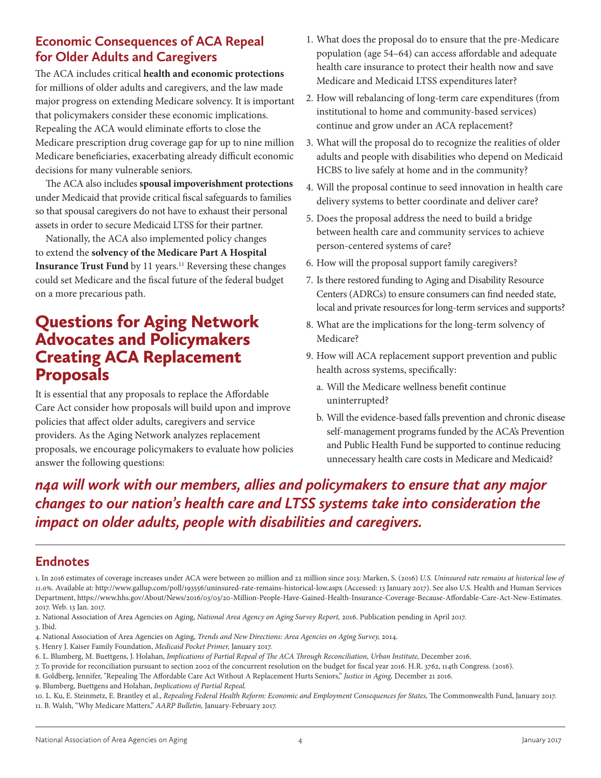## **Economic Consequences of ACA Repeal for Older Adults and Caregivers**

The ACA includes critical **health and economic protections** for millions of older adults and caregivers, and the law made major progress on extending Medicare solvency. It is important that policymakers consider these economic implications. Repealing the ACA would eliminate efforts to close the Medicare prescription drug coverage gap for up to nine million Medicare beneficiaries, exacerbating already difficult economic decisions for many vulnerable seniors.

The ACA also includes **spousal impoverishment protections** under Medicaid that provide critical fiscal safeguards to families so that spousal caregivers do not have to exhaust their personal assets in order to secure Medicaid LTSS for their partner.

Nationally, the ACA also implemented policy changes to extend the **solvency of the Medicare Part A Hospital Insurance Trust Fund** by 11 years.<sup>11</sup> Reversing these changes could set Medicare and the fiscal future of the federal budget on a more precarious path.

# Questions for Aging Network Advocates and Policymakers Creating ACA Replacement Proposals

It is essential that any proposals to replace the Affordable Care Act consider how proposals will build upon and improve policies that affect older adults, caregivers and service providers. As the Aging Network analyzes replacement proposals, we encourage policymakers to evaluate how policies answer the following questions:

- 1. What does the proposal do to ensure that the pre-Medicare population (age 54–64) can access affordable and adequate health care insurance to protect their health now and save Medicare and Medicaid LTSS expenditures later?
- 2. How will rebalancing of long-term care expenditures (from institutional to home and community-based services) continue and grow under an ACA replacement?
- 3. What will the proposal do to recognize the realities of older adults and people with disabilities who depend on Medicaid HCBS to live safely at home and in the community?
- 4. Will the proposal continue to seed innovation in health care delivery systems to better coordinate and deliver care?
- 5. Does the proposal address the need to build a bridge between health care and community services to achieve person-centered systems of care?
- 6. How will the proposal support family caregivers?
- 7. Is there restored funding to Aging and Disability Resource Centers (ADRCs) to ensure consumers can find needed state, local and private resources for long-term services and supports?
- 8. What are the implications for the long-term solvency of Medicare?
- 9. How will ACA replacement support prevention and public health across systems, specifically:
	- a. Will the Medicare wellness benefit continue uninterrupted?
	- b. Will the evidence-based falls prevention and chronic disease self-management programs funded by the ACA's Prevention and Public Health Fund be supported to continue reducing unnecessary health care costs in Medicare and Medicaid?

*n4a will work with our members, allies and policymakers to ensure that any major changes to our nation's health care and LTSS systems take into consideration the impact on older adults, people with disabilities and caregivers.* 

# **Endnotes**

1. In 2016 estimates of coverage increases under ACA were between 20 million and 22 million since 2013: Marken, S. (2016) *U.S. Uninsured rate remains at historical low of 11.0%.* Available at: http://www.gallup.com/poll/193556/uninsured-rate-remains-historical-low.aspx (Accessed: 13 January 2017). See also U.S. Health and Human Services Department, https://www.hhs.gov/About/News/2016/03/03/20-Million-People-Have-Gained-Health-Insurance-Coverage-Because-Affordable-Care-Act-New-Estimates. 2017. Web. 13 Jan. 2017.

2. National Association of Area Agencies on Aging, *National Area Agency on Aging Survey Report,* 2016. Publication pending in April 2017. 3. Ibid.

- 4. National Association of Area Agencies on Aging, *Trends and New Directions: Area Agencies on Aging Survey,* 2014.
- 5. Henry J. Kaiser Family Foundation, *Medicaid Pocket Primer,* January 2017.
- 6. L. Blumberg, M. Buettgens, J. Holahan, *Implications of Partial Repeal of The ACA Through Reconciliation, Urban Institute,* December 2016.
- 7. To provide for reconciliation pursuant to section 2002 of the concurrent resolution on the budget for fiscal year 2016. H.R. 3762, 114th Congress. (2016).
- 8. Goldberg, Jennifer, "Repealing The Affordable Care Act Without A Replacement Hurts Seniors," *Justice in Aging,* December 21 2016.

9. Blumberg, Buettgens and Holahan, *Implications of Partial Repeal.*

10. L. Ku, E. Steinmetz, E. Brantley et al., *Repealing Federal Health Reform: Economic and Employment Consequences for States,* The Commonwealth Fund, January 2017. 11. B. Walsh, "Why Medicare Matters," *AARP Bulletin,* January-February 2017.